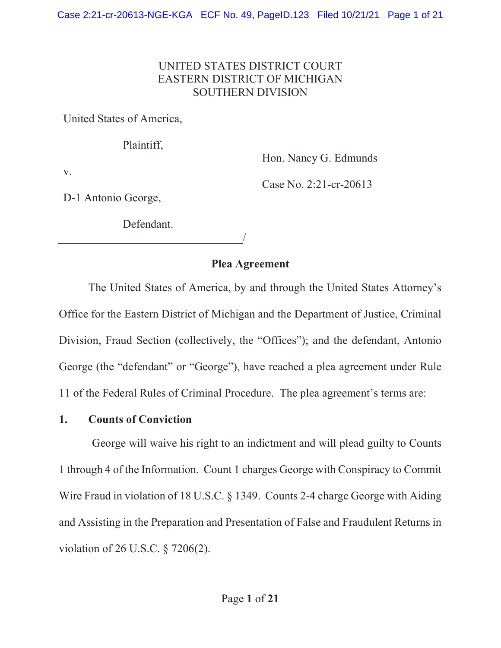### UNITED STATES DISTRICT COURT EASTERN DISTRICT OF MICHIGAN SOUTHERN DIVISION

United States of America,

Plaintiff,

Hon. Nancy G. Edmunds

v.

Case No. 2:21-cr-20613

D-1 Antonio George,

Defendant.

/

## Plea Agreement

 The United States of America, by and through the United States Attorney's Office for the Eastern District of Michigan and the Department of Justice, Criminal Division, Fraud Section (collectively, the "Offices"); and the defendant, Antonio George (the "defendant" or "George"), have reached a plea agreement under Rule 11 of the Federal Rules of Criminal Procedure. The plea agreement's terms are:

#### 1. Counts of Conviction

George will waive his right to an indictment and will plead guilty to Counts 1 through 4 of the Information. Count 1 charges George with Conspiracy to Commit Wire Fraud in violation of 18 U.S.C. § 1349. Counts 2-4 charge George with Aiding and Assisting in the Preparation and Presentation of False and Fraudulent Returns in violation of 26 U.S.C. § 7206(2).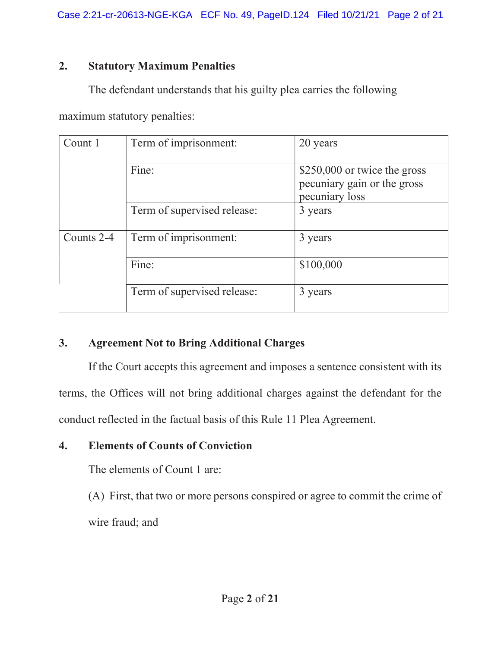## 2. Statutory Maximum Penalties

The defendant understands that his guilty plea carries the following

maximum statutory penalties:

| Count 1    | Term of imprisonment:       | 20 years                                                                      |
|------------|-----------------------------|-------------------------------------------------------------------------------|
|            | Fine:                       | \$250,000 or twice the gross<br>pecuniary gain or the gross<br>pecuniary loss |
|            | Term of supervised release: | 3 years                                                                       |
| Counts 2-4 | Term of imprisonment:       | 3 years                                                                       |
|            | Fine:                       | \$100,000                                                                     |
|            | Term of supervised release: | 3 years                                                                       |

# 3. Agreement Not to Bring Additional Charges

If the Court accepts this agreement and imposes a sentence consistent with its terms, the Offices will not bring additional charges against the defendant for the conduct reflected in the factual basis of this Rule 11 Plea Agreement.

# 4. Elements of Counts of Conviction

The elements of Count 1 are:

(A) First, that two or more persons conspired or agree to commit the crime of wire fraud; and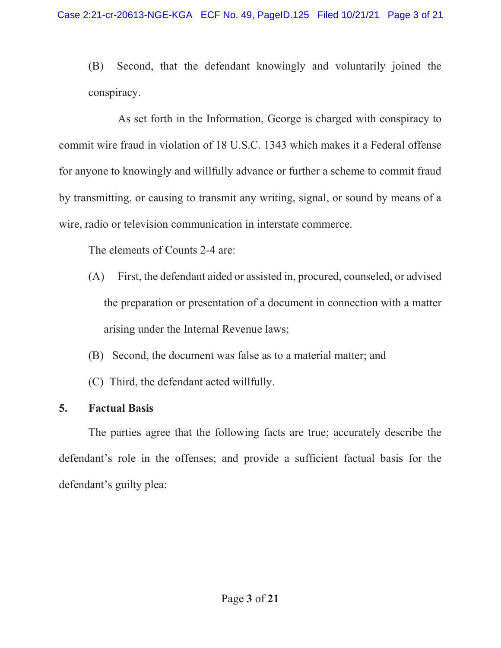(B) Second, that the defendant knowingly and voluntarily joined the conspiracy.

 As set forth in the Information, George is charged with conspiracy to commit wire fraud in violation of 18 U.S.C. 1343 which makes it a Federal offense for anyone to knowingly and willfully advance or further a scheme to commit fraud by transmitting, or causing to transmit any writing, signal, or sound by means of a wire, radio or television communication in interstate commerce.

The elements of Counts 2-4 are:

- (A) First, the defendant aided or assisted in, procured, counseled, or advised the preparation or presentation of a document in connection with a matter arising under the Internal Revenue laws;
- (B) Second, the document was false as to a material matter; and
- (C) Third, the defendant acted willfully.

# 5. Factual Basis

 The parties agree that the following facts are true; accurately describe the defendant's role in the offenses; and provide a sufficient factual basis for the defendant's guilty plea: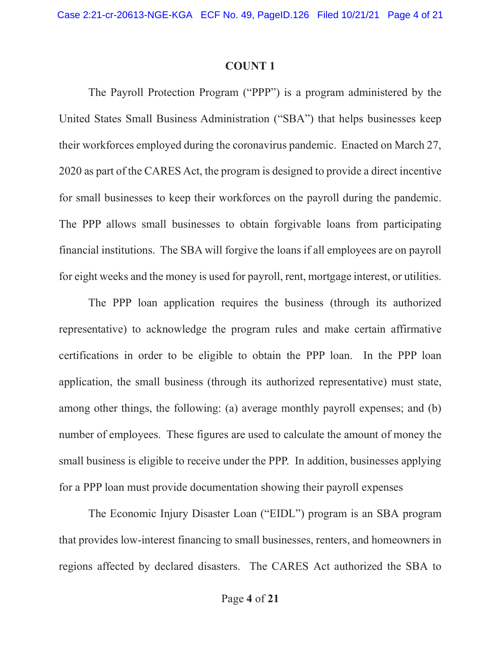#### COUNT 1

The Payroll Protection Program ("PPP") is a program administered by the United States Small Business Administration ("SBA") that helps businesses keep their workforces employed during the coronavirus pandemic. Enacted on March 27, 2020 as part of the CARES Act, the program is designed to provide a direct incentive for small businesses to keep their workforces on the payroll during the pandemic. The PPP allows small businesses to obtain forgivable loans from participating financial institutions. The SBA will forgive the loans if all employees are on payroll for eight weeks and the money is used for payroll, rent, mortgage interest, or utilities.

The PPP loan application requires the business (through its authorized representative) to acknowledge the program rules and make certain affirmative certifications in order to be eligible to obtain the PPP loan. In the PPP loan application, the small business (through its authorized representative) must state, among other things, the following: (a) average monthly payroll expenses; and (b) number of employees. These figures are used to calculate the amount of money the small business is eligible to receive under the PPP. In addition, businesses applying for a PPP loan must provide documentation showing their payroll expenses

The Economic Injury Disaster Loan ("EIDL") program is an SBA program that provides low-interest financing to small businesses, renters, and homeowners in regions affected by declared disasters. The CARES Act authorized the SBA to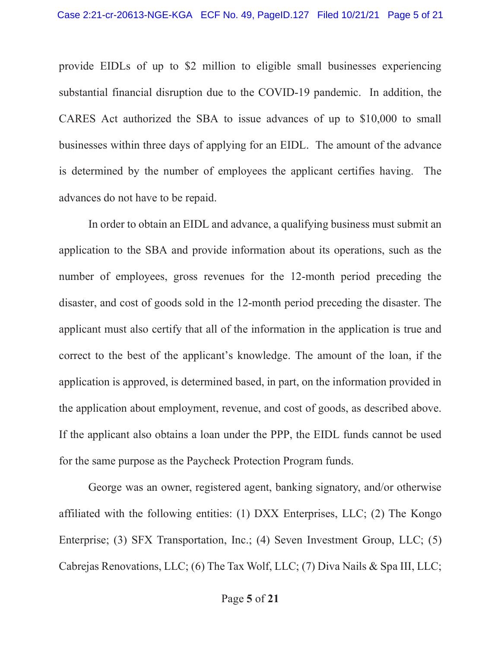provide EIDLs of up to \$2 million to eligible small businesses experiencing substantial financial disruption due to the COVID-19 pandemic. In addition, the CARES Act authorized the SBA to issue advances of up to \$10,000 to small businesses within three days of applying for an EIDL. The amount of the advance is determined by the number of employees the applicant certifies having. The advances do not have to be repaid.

In order to obtain an EIDL and advance, a qualifying business must submit an application to the SBA and provide information about its operations, such as the number of employees, gross revenues for the 12-month period preceding the disaster, and cost of goods sold in the 12-month period preceding the disaster. The applicant must also certify that all of the information in the application is true and correct to the best of the applicant's knowledge. The amount of the loan, if the application is approved, is determined based, in part, on the information provided in the application about employment, revenue, and cost of goods, as described above. If the applicant also obtains a loan under the PPP, the EIDL funds cannot be used for the same purpose as the Paycheck Protection Program funds.

George was an owner, registered agent, banking signatory, and/or otherwise affiliated with the following entities: (1) DXX Enterprises, LLC; (2) The Kongo Enterprise; (3) SFX Transportation, Inc.; (4) Seven Investment Group, LLC; (5) Cabrejas Renovations, LLC; (6) The Tax Wolf, LLC; (7) Diva Nails & Spa III, LLC;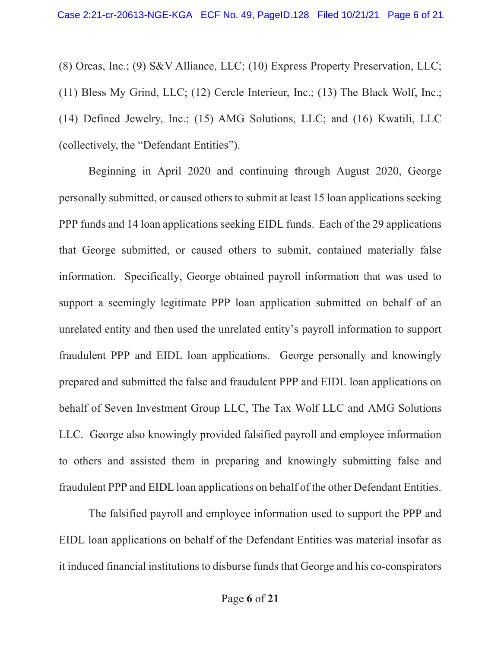(8) Orcas, Inc.; (9) S&V Alliance, LLC; (10) Express Property Preservation, LLC; (11) Bless My Grind, LLC; (12) Cercle Interieur, Inc.; (13) The Black Wolf, Inc.; (14) Defined Jewelry, Inc.; (15) AMG Solutions, LLC; and (16) Kwatili, LLC (collectively, the "Defendant Entities").

 Beginning in April 2020 and continuing through August 2020, George personally submitted, or caused others to submit at least 15 loan applications seeking PPP funds and 14 loan applications seeking EIDL funds. Each of the 29 applications that George submitted, or caused others to submit, contained materially false information. Specifically, George obtained payroll information that was used to support a seemingly legitimate PPP loan application submitted on behalf of an unrelated entity and then used the unrelated entity's payroll information to support fraudulent PPP and EIDL loan applications. George personally and knowingly prepared and submitted the false and fraudulent PPP and EIDL loan applications on behalf of Seven Investment Group LLC, The Tax Wolf LLC and AMG Solutions LLC. George also knowingly provided falsified payroll and employee information to others and assisted them in preparing and knowingly submitting false and fraudulent PPP and EIDL loan applications on behalf of the other Defendant Entities.

The falsified payroll and employee information used to support the PPP and EIDL loan applications on behalf of the Defendant Entities was material insofar as it induced financial institutions to disburse funds that George and his co-conspirators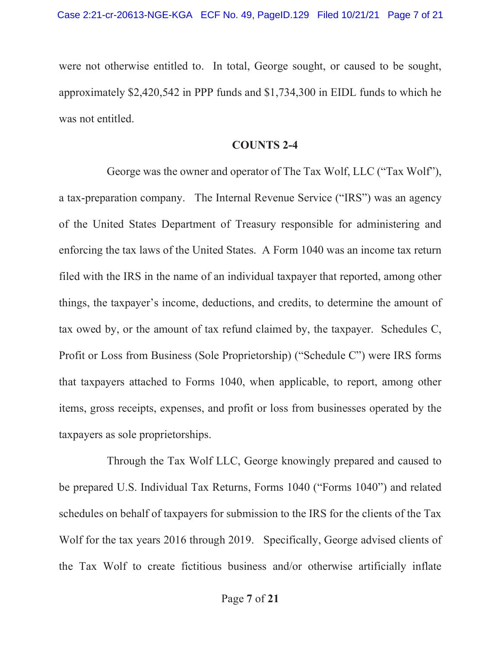were not otherwise entitled to. In total, George sought, or caused to be sought, approximately \$2,420,542 in PPP funds and \$1,734,300 in EIDL funds to which he was not entitled.

#### COUNTS 2-4

George was the owner and operator of The Tax Wolf, LLC ("Tax Wolf"), a tax-preparation company. The Internal Revenue Service ("IRS") was an agency of the United States Department of Treasury responsible for administering and enforcing the tax laws of the United States. A Form 1040 was an income tax return filed with the IRS in the name of an individual taxpayer that reported, among other things, the taxpayer's income, deductions, and credits, to determine the amount of tax owed by, or the amount of tax refund claimed by, the taxpayer. Schedules C, Profit or Loss from Business (Sole Proprietorship) ("Schedule C") were IRS forms that taxpayers attached to Forms 1040, when applicable, to report, among other items, gross receipts, expenses, and profit or loss from businesses operated by the taxpayers as sole proprietorships.

 Through the Tax Wolf LLC, George knowingly prepared and caused to be prepared U.S. Individual Tax Returns, Forms 1040 ("Forms 1040") and related schedules on behalf of taxpayers for submission to the IRS for the clients of the Tax Wolf for the tax years 2016 through 2019. Specifically, George advised clients of the Tax Wolf to create fictitious business and/or otherwise artificially inflate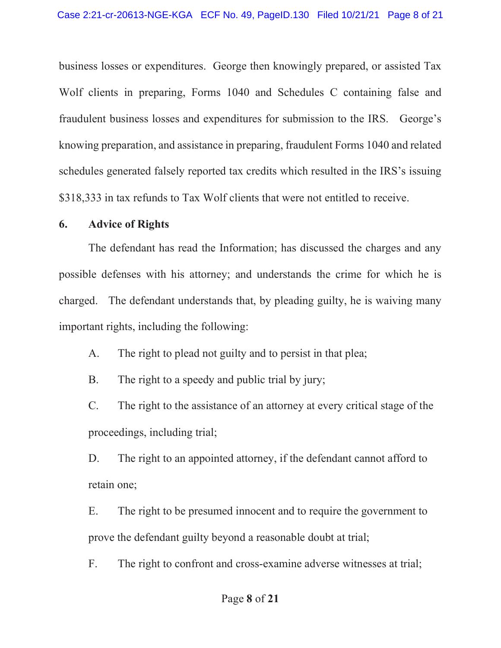business losses or expenditures. George then knowingly prepared, or assisted Tax Wolf clients in preparing, Forms 1040 and Schedules C containing false and fraudulent business losses and expenditures for submission to the IRS. George's knowing preparation, and assistance in preparing, fraudulent Forms 1040 and related schedules generated falsely reported tax credits which resulted in the IRS's issuing \$318,333 in tax refunds to Tax Wolf clients that were not entitled to receive.

#### 6. Advice of Rights

The defendant has read the Information; has discussed the charges and any possible defenses with his attorney; and understands the crime for which he is charged. The defendant understands that, by pleading guilty, he is waiving many important rights, including the following:

A. The right to plead not guilty and to persist in that plea;

B. The right to a speedy and public trial by jury;

C. The right to the assistance of an attorney at every critical stage of the proceedings, including trial;

D. The right to an appointed attorney, if the defendant cannot afford to retain one;

E. The right to be presumed innocent and to require the government to prove the defendant guilty beyond a reasonable doubt at trial;

F. The right to confront and cross-examine adverse witnesses at trial;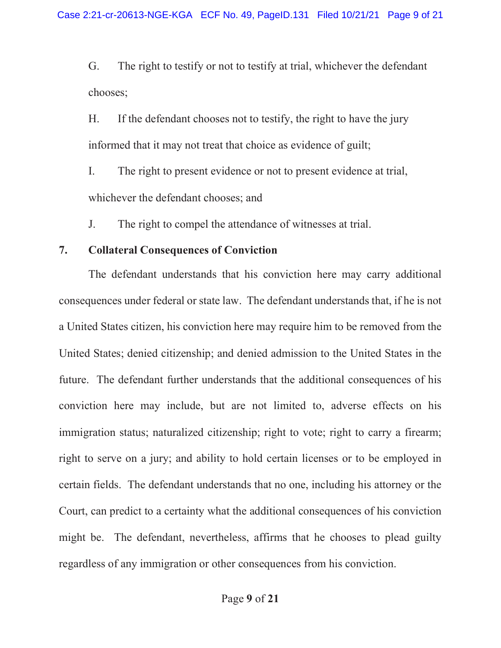G. The right to testify or not to testify at trial, whichever the defendant chooses;

H. If the defendant chooses not to testify, the right to have the jury informed that it may not treat that choice as evidence of guilt;

I. The right to present evidence or not to present evidence at trial, whichever the defendant chooses; and

J. The right to compel the attendance of witnesses at trial.

# 7. Collateral Consequences of Conviction

The defendant understands that his conviction here may carry additional consequences under federal or state law. The defendant understands that, if he is not a United States citizen, his conviction here may require him to be removed from the United States; denied citizenship; and denied admission to the United States in the future. The defendant further understands that the additional consequences of his conviction here may include, but are not limited to, adverse effects on his immigration status; naturalized citizenship; right to vote; right to carry a firearm; right to serve on a jury; and ability to hold certain licenses or to be employed in certain fields. The defendant understands that no one, including his attorney or the Court, can predict to a certainty what the additional consequences of his conviction might be. The defendant, nevertheless, affirms that he chooses to plead guilty regardless of any immigration or other consequences from his conviction.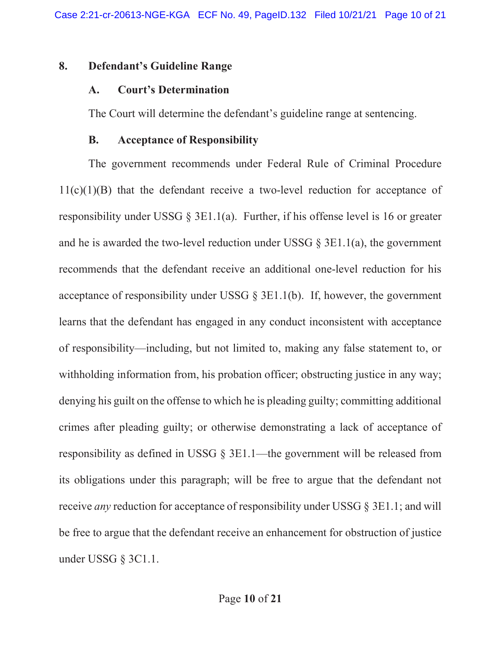#### 8. Defendant's Guideline Range

### A. Court's Determination

The Court will determine the defendant's guideline range at sentencing.

## B. Acceptance of Responsibility

The government recommends under Federal Rule of Criminal Procedure  $11(c)(1)(B)$  that the defendant receive a two-level reduction for acceptance of responsibility under USSG § 3E1.1(a). Further, if his offense level is 16 or greater and he is awarded the two-level reduction under USSG  $\S$  3E1.1(a), the government recommends that the defendant receive an additional one-level reduction for his acceptance of responsibility under USSG  $\S$  3E1.1(b). If, however, the government learns that the defendant has engaged in any conduct inconsistent with acceptance of responsibility—including, but not limited to, making any false statement to, or withholding information from, his probation officer; obstructing justice in any way; denying his guilt on the offense to which he is pleading guilty; committing additional crimes after pleading guilty; or otherwise demonstrating a lack of acceptance of responsibility as defined in USSG § 3E1.1—the government will be released from its obligations under this paragraph; will be free to argue that the defendant not receive *any* reduction for acceptance of responsibility under USSG § 3E1.1; and will be free to argue that the defendant receive an enhancement for obstruction of justice under USSG § 3C1.1.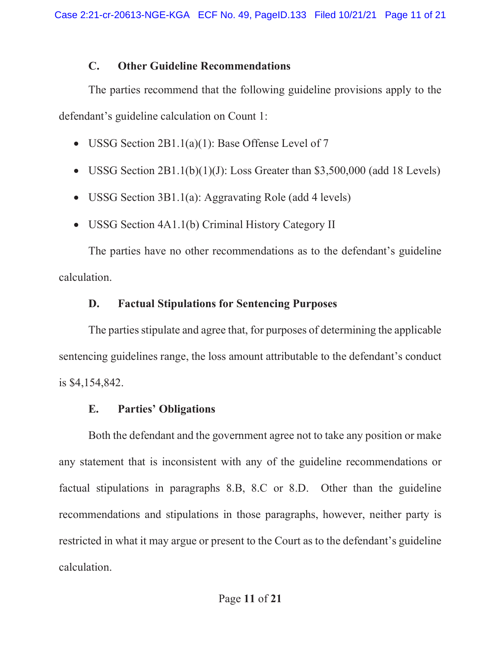## C. Other Guideline Recommendations

The parties recommend that the following guideline provisions apply to the defendant's guideline calculation on Count 1:

- USSG Section  $2B1.1(a)(1)$ : Base Offense Level of 7
- USSG Section  $2B1.1(b)(1)(J)$ : Loss Greater than \$3,500,000 (add 18 Levels)
- USSG Section  $3B1.1(a)$ : Aggravating Role (add 4 levels)
- USSG Section 4A1.1(b) Criminal History Category II

 The parties have no other recommendations as to the defendant's guideline calculation.

# D. Factual Stipulations for Sentencing Purposes

 The parties stipulate and agree that, for purposes of determining the applicable sentencing guidelines range, the loss amount attributable to the defendant's conduct is \$4,154,842.

# E. Parties' Obligations

Both the defendant and the government agree not to take any position or make any statement that is inconsistent with any of the guideline recommendations or factual stipulations in paragraphs 8.B, 8.C or 8.D. Other than the guideline recommendations and stipulations in those paragraphs, however, neither party is restricted in what it may argue or present to the Court as to the defendant's guideline calculation.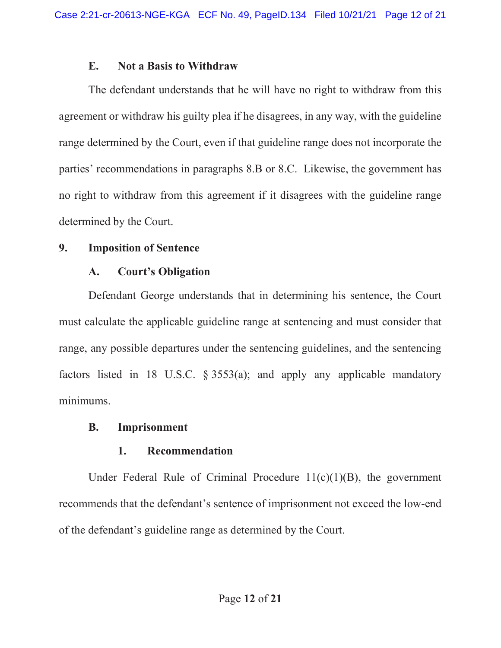#### E. Not a Basis to Withdraw

 The defendant understands that he will have no right to withdraw from this agreement or withdraw his guilty plea if he disagrees, in any way, with the guideline range determined by the Court, even if that guideline range does not incorporate the parties' recommendations in paragraphs 8.B or 8.C. Likewise, the government has no right to withdraw from this agreement if it disagrees with the guideline range determined by the Court.

### 9. Imposition of Sentence

### A. Court's Obligation

 Defendant George understands that in determining his sentence, the Court must calculate the applicable guideline range at sentencing and must consider that range, any possible departures under the sentencing guidelines, and the sentencing factors listed in 18 U.S.C.  $\S 3553(a)$ ; and apply any applicable mandatory minimums.

### B. Imprisonment

### 1. Recommendation

Under Federal Rule of Criminal Procedure  $11(c)(1)(B)$ , the government recommends that the defendant's sentence of imprisonment not exceed the low-end of the defendant's guideline range as determined by the Court.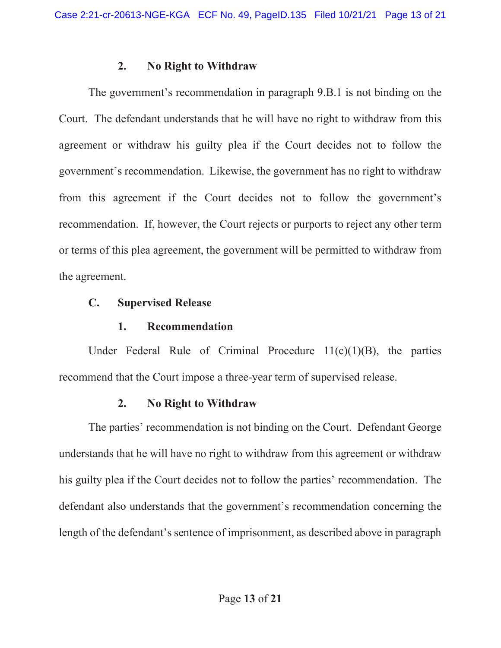#### 2. No Right to Withdraw

 The government's recommendation in paragraph 9.B.1 is not binding on the Court.The defendant understands that he will have no right to withdraw from this agreement or withdraw his guilty plea if the Court decides not to follow the government's recommendation. Likewise, the government has no right to withdraw from this agreement if the Court decides not to follow the government's recommendation. If, however, the Court rejects or purports to reject any other term or terms of this plea agreement, the government will be permitted to withdraw from the agreement.

#### C. Supervised Release

#### 1. Recommendation

Under Federal Rule of Criminal Procedure  $11(c)(1)(B)$ , the parties recommend that the Court impose a three-year term of supervised release.

### 2. No Right to Withdraw

 The parties' recommendation is not binding on the Court. Defendant George understands that he will have no right to withdraw from this agreement or withdraw his guilty plea if the Court decides not to follow the parties' recommendation. The defendant also understands that the government's recommendation concerning the length of the defendant's sentence of imprisonment, as described above in paragraph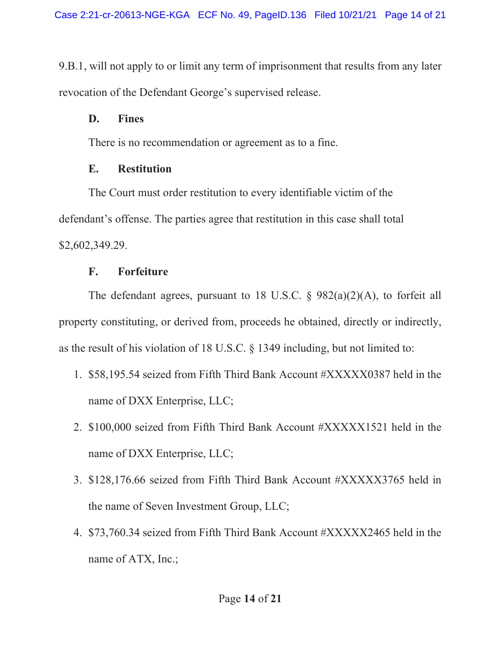9.B.1, will not apply to or limit any term of imprisonment that results from any later revocation of the Defendant George's supervised release.

## D. Fines

There is no recommendation or agreement as to a fine.

## E. Restitution

The Court must order restitution to every identifiable victim of the defendant's offense. The parties agree that restitution in this case shall total \$2,602,349.29.

# F. Forfeiture

The defendant agrees, pursuant to 18 U.S.C.  $\S$  982(a)(2)(A), to forfeit all property constituting, or derived from, proceeds he obtained, directly or indirectly, as the result of his violation of 18 U.S.C. § 1349 including, but not limited to:

- 1. \$58,195.54 seized from Fifth Third Bank Account #XXXXX0387 held in the name of DXX Enterprise, LLC;
- 2. \$100,000 seized from Fifth Third Bank Account #XXXXX1521 held in the name of DXX Enterprise, LLC;
- 3. \$128,176.66 seized from Fifth Third Bank Account #XXXXX3765 held in the name of Seven Investment Group, LLC;
- 4. \$73,760.34 seized from Fifth Third Bank Account #XXXXX2465 held in the name of ATX, Inc.;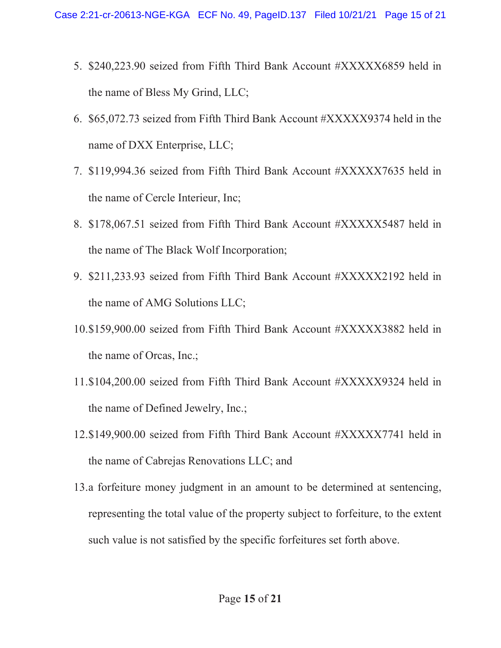- 5. \$240,223.90 seized from Fifth Third Bank Account #XXXXX6859 held in the name of Bless My Grind, LLC;
- 6. \$65,072.73 seized from Fifth Third Bank Account #XXXXX9374 held in the name of DXX Enterprise, LLC;
- 7. \$119,994.36 seized from Fifth Third Bank Account #XXXXX7635 held in the name of Cercle Interieur, Inc;
- 8. \$178,067.51 seized from Fifth Third Bank Account #XXXXX5487 held in the name of The Black Wolf Incorporation;
- 9. \$211,233.93 seized from Fifth Third Bank Account #XXXXX2192 held in the name of AMG Solutions LLC;
- 10.\$159,900.00 seized from Fifth Third Bank Account #XXXXX3882 held in the name of Orcas, Inc.;
- 11.\$104,200.00 seized from Fifth Third Bank Account #XXXXX9324 held in the name of Defined Jewelry, Inc.;
- 12.\$149,900.00 seized from Fifth Third Bank Account #XXXXX7741 held in the name of Cabrejas Renovations LLC; and
- 13.a forfeiture money judgment in an amount to be determined at sentencing, representing the total value of the property subject to forfeiture, to the extent such value is not satisfied by the specific forfeitures set forth above.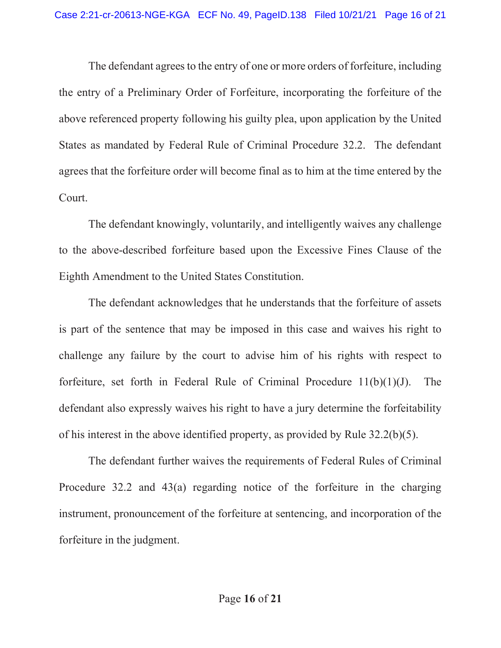The defendant agrees to the entry of one or more orders of forfeiture, including the entry of a Preliminary Order of Forfeiture, incorporating the forfeiture of the above referenced property following his guilty plea, upon application by the United States as mandated by Federal Rule of Criminal Procedure 32.2. The defendant agrees that the forfeiture order will become final as to him at the time entered by the Court.

The defendant knowingly, voluntarily, and intelligently waives any challenge to the above-described forfeiture based upon the Excessive Fines Clause of the Eighth Amendment to the United States Constitution.

The defendant acknowledges that he understands that the forfeiture of assets is part of the sentence that may be imposed in this case and waives his right to challenge any failure by the court to advise him of his rights with respect to forfeiture, set forth in Federal Rule of Criminal Procedure  $11(b)(1)(J)$ . The defendant also expressly waives his right to have a jury determine the forfeitability of his interest in the above identified property, as provided by Rule 32.2(b)(5).

The defendant further waives the requirements of Federal Rules of Criminal Procedure 32.2 and 43(a) regarding notice of the forfeiture in the charging instrument, pronouncement of the forfeiture at sentencing, and incorporation of the forfeiture in the judgment.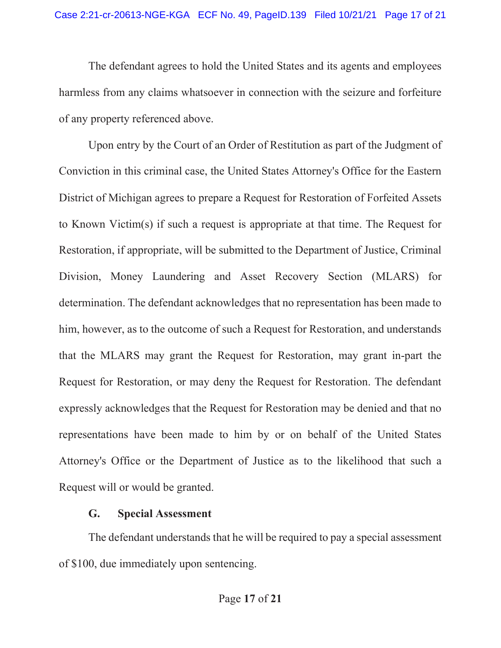The defendant agrees to hold the United States and its agents and employees harmless from any claims whatsoever in connection with the seizure and forfeiture of any property referenced above.

Upon entry by the Court of an Order of Restitution as part of the Judgment of Conviction in this criminal case, the United States Attorney's Office for the Eastern District of Michigan agrees to prepare a Request for Restoration of Forfeited Assets to Known Victim(s) if such a request is appropriate at that time. The Request for Restoration, if appropriate, will be submitted to the Department of Justice, Criminal Division, Money Laundering and Asset Recovery Section (MLARS) for determination. The defendant acknowledges that no representation has been made to him, however, as to the outcome of such a Request for Restoration, and understands that the MLARS may grant the Request for Restoration, may grant in-part the Request for Restoration, or may deny the Request for Restoration. The defendant expressly acknowledges that the Request for Restoration may be denied and that no representations have been made to him by or on behalf of the United States Attorney's Office or the Department of Justice as to the likelihood that such a Request will or would be granted.

## G. Special Assessment

 The defendant understands that he will be required to pay a special assessment of \$100, due immediately upon sentencing.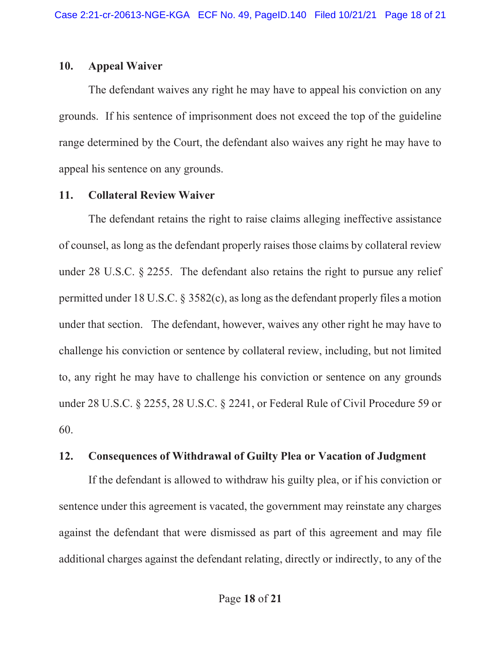#### 10. Appeal Waiver

The defendant waives any right he may have to appeal his conviction on any grounds. If his sentence of imprisonment does not exceed the top of the guideline range determined by the Court, the defendant also waives any right he may have to appeal his sentence on any grounds.

## 11. Collateral Review Waiver

The defendant retains the right to raise claims alleging ineffective assistance of counsel, as long as the defendant properly raises those claims by collateral review under 28 U.S.C. § 2255. The defendant also retains the right to pursue any relief permitted under 18 U.S.C. § 3582(c), as long as the defendant properly files a motion under that section. The defendant, however, waives any other right he may have to challenge his conviction or sentence by collateral review, including, but not limited to, any right he may have to challenge his conviction or sentence on any grounds under 28 U.S.C. § 2255, 28 U.S.C. § 2241, or Federal Rule of Civil Procedure 59 or 60.

## 12. Consequences of Withdrawal of Guilty Plea or Vacation of Judgment

If the defendant is allowed to withdraw his guilty plea, or if his conviction or sentence under this agreement is vacated, the government may reinstate any charges against the defendant that were dismissed as part of this agreement and may file additional charges against the defendant relating, directly or indirectly, to any of the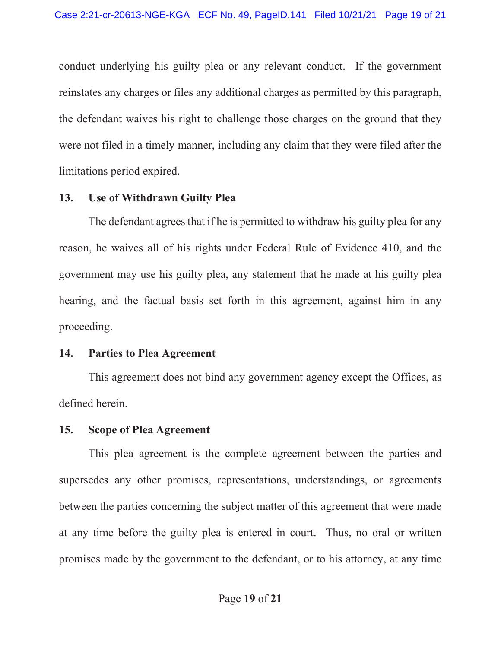conduct underlying his guilty plea or any relevant conduct. If the government reinstates any charges or files any additional charges as permitted by this paragraph, the defendant waives his right to challenge those charges on the ground that they were not filed in a timely manner, including any claim that they were filed after the limitations period expired.

#### 13. Use of Withdrawn Guilty Plea

The defendant agrees that if he is permitted to withdraw his guilty plea for any reason, he waives all of his rights under Federal Rule of Evidence 410, and the government may use his guilty plea, any statement that he made at his guilty plea hearing, and the factual basis set forth in this agreement, against him in any proceeding.

#### 14. Parties to Plea Agreement

 This agreement does not bind any government agency except the Offices, as defined herein.

#### 15. Scope of Plea Agreement

 This plea agreement is the complete agreement between the parties and supersedes any other promises, representations, understandings, or agreements between the parties concerning the subject matter of this agreement that were made at any time before the guilty plea is entered in court. Thus, no oral or written promises made by the government to the defendant, or to his attorney, at any time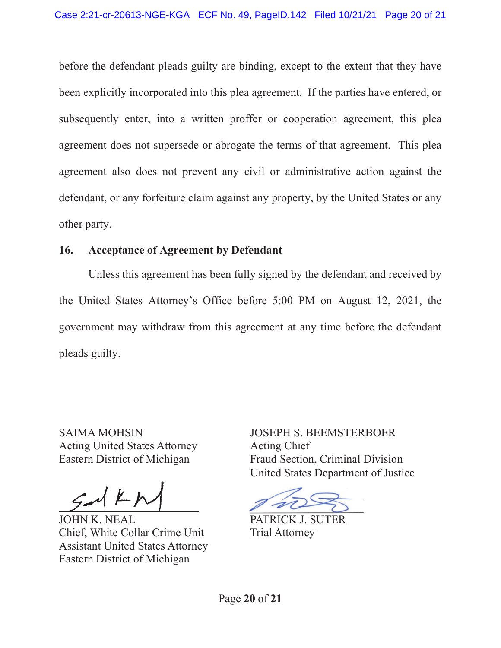before the defendant pleads guilty are binding, except to the extent that they have been explicitly incorporated into this plea agreement. If the parties have entered, or subsequently enter, into a written proffer or cooperation agreement, this plea agreement does not supersede or abrogate the terms of that agreement. This plea agreement also does not prevent any civil or administrative action against the defendant, or any forfeiture claim against any property, by the United States or any other party.

### 16. Acceptance of Agreement by Defendant

Unless this agreement has been fully signed by the defendant and received by the United States Attorney's Office before 5:00 PM on August 12, 2021, the government may withdraw from this agreement at any time before the defendant pleads guilty.

SAIMA MOHSIN Acting United States Attorney Eastern District of Michigan

JOHN K. NEAL Chief, White Collar Crime Unit Assistant United States Attorney Eastern District of Michigan

JOSEPH S. BEEMSTERBOER Acting Chief Fraud Section, Criminal Division United States Department of Justice

PATRICK J. SUTER Trial Attorney